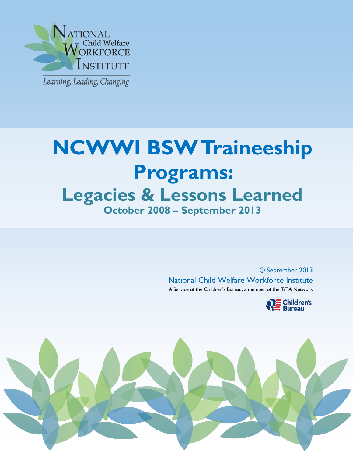

j

# **NCWWI BSW Traineeship Programs: Legacies & Lessons Learned October 2008 – September 2013**

© September 2013 National Child Welfare Workforce Institute A Service of the Children's Bureau, a member of the T/TA Network



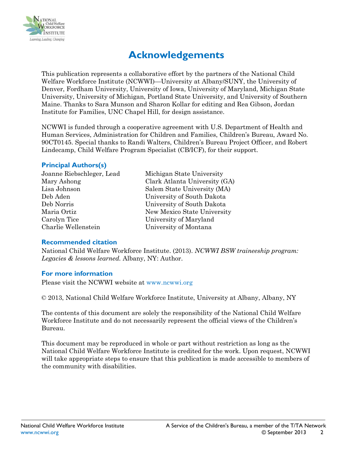

## **Acknowledgements**

This publication represents a collaborative effort by the partners of the National Child Welfare Workforce Institute (NCWWI)—University at Albany/SUNY, the University of Denver, Fordham University, University of Iowa, University of Maryland, Michigan State University, University of Michigan, Portland State University, and University of Southern Maine. Thanks to Sara Munson and Sharon Kollar for editing and Rea Gibson, Jordan Institute for Families, UNC Chapel Hill, for design assistance.

NCWWI is funded through a cooperative agreement with U.S. Department of Health and Human Services, Administration for Children and Families, Children's Bureau, Award No. 90CT0145. Special thanks to Randi Walters, Children's Bureau Project Officer, and Robert Lindecamp, Child Welfare Program Specialist (CB/ICF), for their support.

#### **Principal Authors(s)**

Joanne Riebschleger, Lead Michigan State University Lisa Johnson Salem State University (MA) Deb Aden University of South Dakota Deb Norris University of South Dakota Maria Ortiz New Mexico State University Carolyn Tice University of Maryland Charlie Wellenstein University of Montana

Mary Ashong Clark Atlanta University (GA)

#### **Recommended citation**

National Child Welfare Workforce Institute. (2013). *NCWWI BSW traineeship program: Legacies & lessons learned.* Albany, NY: Author.

#### **For more information**

Please visit the NCWWI website at [www.ncwwi.org](http://www.ncwwi.org/)

© 2013, National Child Welfare Workforce Institute, University at Albany, Albany, NY

The contents of this document are solely the responsibility of the National Child Welfare Workforce Institute and do not necessarily represent the official views of the Children's Bureau.

This document may be reproduced in whole or part without restriction as long as the National Child Welfare Workforce Institute is credited for the work. Upon request, NCWWI will take appropriate steps to ensure that this publication is made accessible to members of the community with disabilities.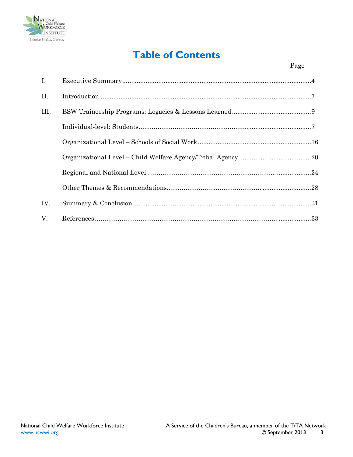

# **Table of Contents**

| $\mathbf{I}$ . |  |
|----------------|--|
| II.            |  |
| III.           |  |
|                |  |
|                |  |
|                |  |
|                |  |
|                |  |
| IV.            |  |
| $V_{\cdot}$    |  |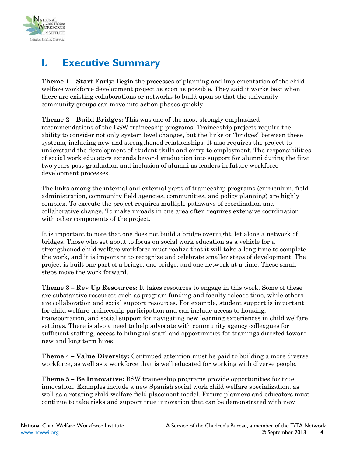

# <span id="page-3-0"></span>**I. Executive Summary**

**Theme 1 – Start Early:** Begin the processes of planning and implementation of the child welfare workforce development project as soon as possible. They said it works best when there are existing collaborations or networks to build upon so that the universitycommunity groups can move into action phases quickly.

**Theme 2 – Build Bridges:** This was one of the most strongly emphasized recommendations of the BSW traineeship programs. Traineeship projects require the ability to consider not only system level changes, but the links or "bridges" between these systems, including new and strengthened relationships. It also requires the project to understand the development of student skills and entry to employment. The responsibilities of social work educators extends beyond graduation into support for alumni during the first two years post-graduation and inclusion of alumni as leaders in future workforce development processes.

The links among the internal and external parts of traineeship programs (curriculum, field, administration, community field agencies, communities, and policy planning) are highly complex. To execute the project requires multiple pathways of coordination and collaborative change. To make inroads in one area often requires extensive coordination with other components of the project.

It is important to note that one does not build a bridge overnight, let alone a network of bridges. Those who set about to focus on social work education as a vehicle for a strengthened child welfare workforce must realize that it will take a long time to complete the work, and it is important to recognize and celebrate smaller steps of development. The project is built one part of a bridge, one bridge, and one network at a time. These small steps move the work forward.

**Theme 3 – Rev Up Resources:** It takes resources to engage in this work. Some of these are substantive resources such as program funding and faculty release time, while others are collaboration and social support resources. For example, student support is important for child welfare traineeship participation and can include access to housing, transportation, and social support for navigating new learning experiences in child welfare settings. There is also a need to help advocate with community agency colleagues for sufficient staffing, access to bilingual staff, and opportunities for trainings directed toward new and long term hires.

**Theme 4 – Value Diversity:** Continued attention must be paid to building a more diverse workforce, as well as a workforce that is well educated for working with diverse people.

**Theme 5 – Be Innovative:** BSW traineeship programs provide opportunities for true innovation. Examples include a new Spanish social work child welfare specialization, as well as a rotating child welfare field placement model. Future planners and educators must continue to take risks and support true innovation that can be demonstrated with new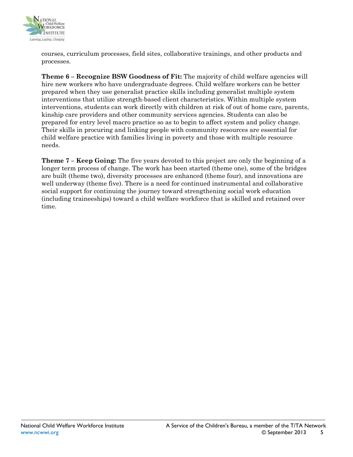

courses, curriculum processes, field sites, collaborative trainings, and other products and processes.

**Theme 6 – Recognize BSW Goodness of Fit:** The majority of child welfare agencies will hire new workers who have undergraduate degrees. Child welfare workers can be better prepared when they use generalist practice skills including generalist multiple system interventions that utilize strength-based client characteristics. Within multiple system interventions, students can work directly with children at risk of out of home care, parents, kinship care providers and other community services agencies. Students can also be prepared for entry level macro practice so as to begin to affect system and policy change. Their skills in procuring and linking people with community resources are essential for child welfare practice with families living in poverty and those with multiple resource needs.

**Theme 7 – Keep Going:** The five years devoted to this project are only the beginning of a longer term process of change. The work has been started (theme one), some of the bridges are built (theme two), diversity processes are enhanced (theme four), and innovations are well underway (theme five). There is a need for continued instrumental and collaborative social support for continuing the journey toward strengthening social work education (including traineeships) toward a child welfare workforce that is skilled and retained over time.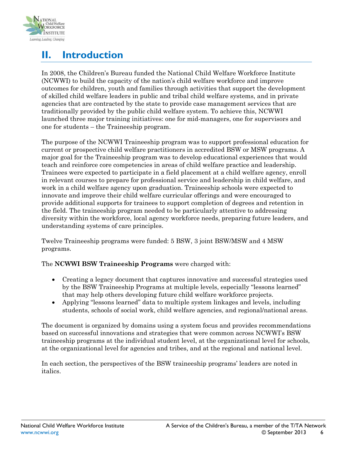

# <span id="page-5-0"></span>**II. Introduction**

In 2008, the Children's Bureau funded the National Child Welfare Workforce Institute (NCWWI) to build the capacity of the nation's child welfare workforce and improve outcomes for children, youth and families through activities that support the development of skilled child welfare leaders in public and tribal child welfare systems, and in private agencies that are contracted by the state to provide case management services that are traditionally provided by the public child welfare system. To achieve this, NCWWI launched three major training initiatives: one for mid-managers, one for supervisors and one for students – the Traineeship program.

The purpose of the NCWWI Traineeship program was to support professional education for current or prospective child welfare practitioners in accredited BSW or MSW programs. A major goal for the Traineeship program was to develop educational experiences that would teach and reinforce core competencies in areas of child welfare practice and leadership. Trainees were expected to participate in a field placement at a child welfare agency, enroll in relevant courses to prepare for professional service and leadership in child welfare, and work in a child welfare agency upon graduation. Traineeship schools were expected to innovate and improve their child welfare curricular offerings and were encouraged to provide additional supports for trainees to support completion of degrees and retention in the field. The traineeship program needed to be particularly attentive to addressing diversity within the workforce, local agency workforce needs, preparing future leaders, and understanding systems of care principles.

Twelve Traineeship programs were funded: 5 BSW, 3 joint BSW/MSW and 4 MSW programs.

#### The **NCWWI BSW Traineeship Programs** were charged with:

- Creating a legacy document that captures innovative and successful strategies used by the BSW Traineeship Programs at multiple levels, especially "lessons learned" that may help others developing future child welfare workforce projects.
- Applying "lessons learned" data to multiple system linkages and levels, including students, schools of social work, child welfare agencies, and regional/national areas.

The document is organized by domains using a system focus and provides recommendations based on successful innovations and strategies that were common across NCWWI's BSW traineeship programs at the individual student level, at the organizational level for schools, at the organizational level for agencies and tribes, and at the regional and national level.

In each section, the perspectives of the BSW traineeship programs' leaders are noted in italics.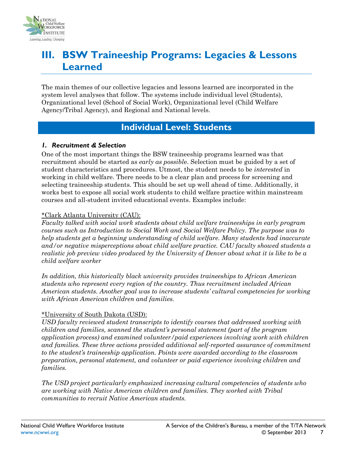

## <span id="page-6-0"></span>**III. BSW Traineeship Programs: Legacies & Lessons Learned**

The main themes of our collective legacies and lessons learned are incorporated in the system level analyses that follow. The systems include individual level (Students), Organizational level (School of Social Work), Organizational level (Child Welfare Agency/Tribal Agency), and Regional and National levels.

### **Individual Level: Students**

#### <span id="page-6-1"></span>*1. Recruitment & Selection*

One of the most important things the BSW traineeship programs learned was that recruitment should be started as *early as possibl*e. Selection must be guided by a set of student characteristics and procedures. Utmost, the student needs to be *interested* in working in child welfare. There needs to be a clear plan and process for screening and selecting traineeship students. This should be set up well ahead of time. Additionally, it works best to expose all social work students to child welfare practice within mainstream courses and all-student invited educational events. Examples include:

#### \*Clark Atlanta University (CAU):

*Faculty talked with social work students about child welfare traineeships in early program courses such as Introduction to Social Work and Social Welfare Policy. The purpose was to help students get a beginning understanding of child welfare. Many students had inaccurate and/or negative misperceptions about child welfare practice. CAU faculty showed students a realistic job preview video produced by the University of Denver about what it is like to be a child welfare worker* 

*In addition, this historically black university provides traineeships to African American students who represent every region of the country. Thus recruitment included African American students. Another goal was to increase students' cultural competencies for working with African American children and families.*

#### \*University of South Dakota (USD):

*USD faculty reviewed student transcripts to identify courses that addressed working with children and families, scanned the student's personal statement (part of the program application process) and examined volunteer/paid experiences involving work with children and families. These three actions provided additional self-reported assurance of commitment to the student's traineeship application. Points were awarded according to the classroom preparation, personal statement, and volunteer or paid experience involving children and families.*

*The USD project particularly emphasized increasing cultural competencies of students who are working with Native American children and families. They worked with Tribal communities to recruit Native American students.*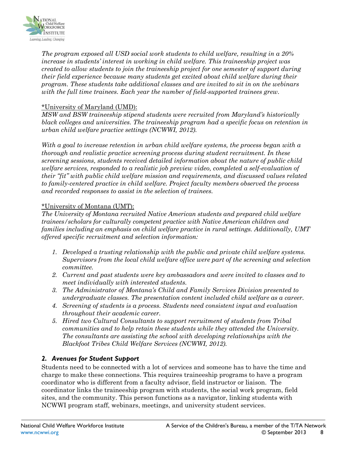

*The program exposed all USD social work students to child welfare, resulting in a 20% increase in students' interest in working in child welfare. This traineeship project was created to allow students to join the traineeship project for one semester of support during their field experience because many students get excited about child welfare during their program. These students take additional classes and are invited to sit in on the webinars with the full time trainees. Each year the number of field-supported trainees grew.*

#### \*University of Maryland (UMD):

*MSW and BSW traineeship stipend students were recruited from Maryland's historically black colleges and universities. The traineeship program had a specific focus on retention in urban child welfare practice settings (NCWWI, 2012).* 

*With a goal to increase retention in urban child welfare systems, the process began with a thorough and realistic practice screening process during student recruitment. In these screening sessions, students received detailed information about the nature of public child welfare services, responded to a realistic job preview video, completed a self-evaluation of their "fit" with public child welfare mission and requirements, and discussed values related to family-centered practice in child welfare. Project faculty members observed the process and recorded responses to assist in the selection of trainees.* 

#### \*University of Montana (UMT):

*The University of Montana recruited Native American students and prepared child welfare trainees/scholars for culturally competent practice with Native American children and families including an emphasis on child welfare practice in rural settings. Additionally, UMT offered specific recruitment and selection information:* 

- *1. Developed a trusting relationship with the public and private child welfare systems. Supervisors from the local child welfare office were part of the screening and selection committee.*
- *2. Current and past students were key ambassadors and were invited to classes and to meet individually with interested students.*
- *3. The Administrator of Montana's Child and Family Services Division presented to undergraduate classes. The presentation content included child welfare as a career.*
- *4. Screening of students is a process. Students need consistent input and evaluation throughout their academic career.*
- *5. Hired two Cultural Consultants to support recruitment of students from Tribal communities and to help retain these students while they attended the University. The consultants are assisting the school with developing relationships with the Blackfoot Tribes Child Welfare Services (NCWWI, 2012).*

#### *2. Avenues for Student Support*

Students need to be connected with a lot of services and someone has to have the time and charge to make these connections. This requires traineeship programs to have a program coordinator who is different from a faculty advisor, field instructor or liaison. The coordinator links the traineeship program with students, the social work program, field sites, and the community. This person functions as a navigator, linking students with NCWWI program staff, webinars, meetings, and university student services.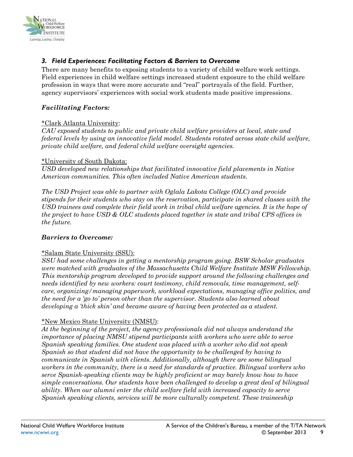

### *3. Field Experiences: Facilitating Factors & Barriers to Overcome*

There are many benefits to exposing students to a variety of child welfare work settings. Field experiences in child welfare settings increased student exposure to the child welfare profession in ways that were more accurate and "real" portrayals of the field. Further, agency supervisors' experiences with social work students made positive impressions.

#### *Facilitating Factors:*

#### \*Clark Atlanta University:

*CAU exposed students to public and private child welfare providers at local, state and federal levels by using an innovative field model. Students rotated across state child welfare, private child welfare, and federal child welfare oversight agencies.*

#### \*University of South Dakota:

*USD developed new relationships that facilitated innovative field placements in Native American communities. This often included Native American students.* 

*The USD Project was able to partner with Oglala Lakota College (OLC) and provide stipends for their students who stay on the reservation, participate in shared classes with the USD trainees and complete their field work in tribal child welfare agencies. It is the hope of the project to have USD & OLC students placed together in state and tribal CPS offices in the future.* 

#### *Barriers to Overcome:*

#### \*Salam State University (SSU):

*SSU had some challenges in getting a mentorship program going. BSW Scholar graduates were matched with graduates of the Massachusetts Child Welfare Institute MSW Fellowship. This mentorship program developed to provide support around the following challenges and needs identified by new workers: court testimony, child removals, time management, selfcare, organizing/managing paperwork, workload expectations, managing office politics, and the need for a 'go to' person other than the supervisor. Students also learned about developing a 'thick skin' and became aware of having been protected as a student.* 

#### \*New Mexico State University (NMSU):

*At the beginning of the project, the agency professionals did not always understand the importance of placing NMSU stipend participants with workers who were able to serve Spanish speaking families. One student was placed with a worker who did not speak Spanish so that student did not have the opportunity to be challenged by having to communicate in Spanish with clients. Additionally, although there are some bilingual workers in the community, there is a need for standards of practice. Bilingual workers who serve Spanish-speaking clients may be highly proficient or may barely know how to have simple conversations. Our students have been challenged to develop a great deal of bilingual ability. When our alumni enter the child welfare field with increased capacity to serve Spanish speaking clients, services will be more culturally competent. These traineeship*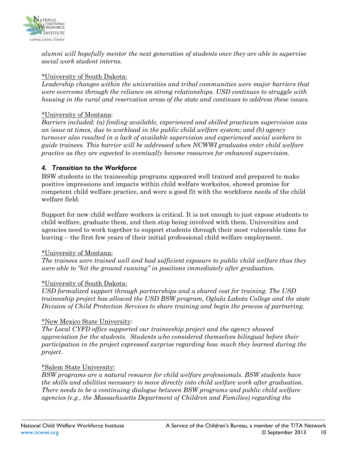

*alumni will hopefully mentor the next generation of students once they are able to supervise social work student interns.* 

#### \*University of South Dakota:

*Leadership changes within the universities and tribal communities were major barriers that were overcome through the reliance on strong relationships. USD continues to struggle with housing in the rural and reservation areas of the state and continues to address these issues.*

#### \*University of Montana:

*Barriers included: (a) finding available, experienced and skilled practicum supervision was an issue at times, due to workload in the public child welfare system; and (b) agency turnover also resulted in a lack of available supervision and experienced social workers to guide trainees. This barrier will be addressed when NCWWI graduates enter child welfare practice as they are expected to eventually become resources for enhanced supervision.* 

#### *4. Transition to the Workforce*

BSW students in the traineeship programs appeared well trained and prepared to make positive impressions and impacts within child welfare worksites, showed promise for competent child welfare practice, and were a good fit with the workforce needs of the child welfare field.

Support for new child welfare workers is critical. It is not enough to just expose students to child welfare, graduate them, and then stop being involved with them. Universities and agencies need to work together to support students through their most vulnerable time for leaving – the first few years of their initial professional child welfare employment.

#### \*University of Montana:

*The trainees were trained well and had sufficient exposure to public child welfare thus they were able to "hit the ground running" in positions immediately after graduation.*

#### \*University of South Dakota:

*USD formalized support through partnerships and a shared cost for training. The USD traineeship project has allowed the USD BSW program, Oglala Lakota College and the state Division of Child Protection Services to share training and begin the process of partnering.* 

#### \*New Mexico State University:

*The Local CYFD office supported our traineeship project and the agency showed appreciation for the students. Students who considered themselves bilingual before their participation in the project expressed surprise regarding how much they learned during the project.*

#### \*Salem State University:

*BSW programs are a natural resource for child welfare professionals. BSW students have the skills and abilities necessary to move directly into child welfare work after graduation. There needs to be a continuing dialogue between BSW programs and public child welfare agencies (e.g., the Massachusetts Department of Children and Families) regarding the*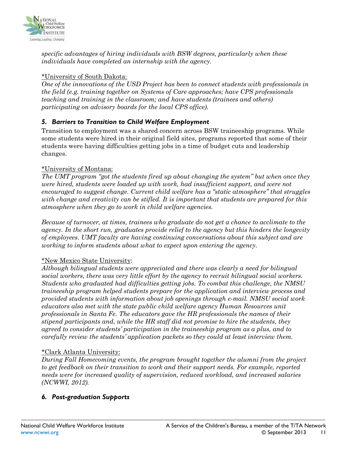

*specific advantages of hiring individuals with BSW degrees, particularly when these individuals have completed an internship with the agency.*

#### \*University of South Dakota:

*One of the innovations of the USD Project has been to connect students with professionals in the field (e.g. training together on Systems of Care approaches; have CPS professionals teaching and training in the classroom; and have students (trainees and others) participating on advisory boards for the local CPS office).*

### *5. Barriers to Transition to Child Welfare Employment*

Transition to employment was a shared concern across BSW traineeship programs. While some students were hired in their original field sites, programs reported that some of their students were having difficulties getting jobs in a time of budget cuts and leadership changes.

#### \*University of Montana:

*The UMT program "got the students fired up about changing the system" but when once they were hired, students were loaded up with work, had insufficient support, and were not encouraged to suggest change. Current child welfare has a "static atmosphere" that struggles with change and creativity can be stifled. It is important that students are prepared for this atmosphere when they go to work in child welfare agencies.*

*Because of turnover, at times, trainees who graduate do not get a chance to acclimate to the agency. In the short run, graduates provide relief to the agency but this hinders the longevity of employees. UMT faculty are having continuing conversations about this subject and are working to inform students about what to expect upon entering the agency.*

#### \*New Mexico State University:

*Although bilingual students were appreciated and there was clearly a need for bilingual social workers, there was very little effort by the agency to recruit bilingual social workers. Students who graduated had difficulties getting jobs. To combat this challenge, the NMSU traineeship program helped students prepare for the application and interview process and provided students with information about job openings through e-mail. NMSU social work educators also met with the state public child welfare agency Human Resources unit professionals in Santa Fe. The educators gave the HR professionals the names of their stipend participants and, while the HR staff did not promise to hire the students, they agreed to consider students' participation in the traineeship program as a plus, and to carefully review the students' application packets so they could at least interview them.* 

#### \*Clark Atlanta University:

*During Fall Homecoming events, the program brought together the alumni from the project to get feedback on their transition to work and their support needs. For example, reported needs were for increased quality of supervision, reduced workload, and increased salaries (NCWWI, 2012).* 

### *6. Post-graduation Supports*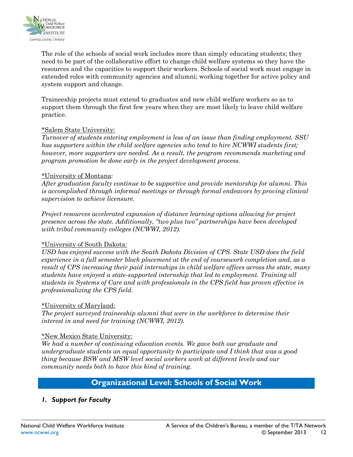

The role of the schools of social work includes more than simply educating students; they need to be part of the collaborative effort to change child welfare systems so they have the resources and the capacities to support their workers. Schools of social work must engage in extended roles with community agencies and alumni; working together for active policy and system support and change.

Traineeship projects must extend to graduates and new child welfare workers so as to support them through the first few years when they are most likely to leave child welfare practice.

#### \*Salem State University:

*Turnover of students entering employment is less of an issue than finding employment. SSU has supporters within the child welfare agencies who tend to hire NCWWI students first; however, more supporters are needed. As a result, the program recommends marketing and program promotion be done early in the project development process.* 

#### \*University of Montana:

*After graduation faculty continue to be supportive and provide mentorship for alumni. This is accomplished through informal meetings or through formal endeavors by proving clinical supervision to achieve licensure.*

*Project resources accelerated expansion of distance learning options allowing for project presence across the state. Additionally, "two plus two" partnerships have been developed with tribal community colleges (NCWWI, 2012).*

#### \*University of South Dakota:

*USD has enjoyed success with the South Dakota Division of CPS. State USD does the field experience in a full semester block placement at the end of coursework completion and, as a result of CPS increasing their paid internships in child welfare offices across the state, many students have enjoyed a state-supported internship that led to employment. Training all students in Systems of Care and with professionals in the CPS field has proven effective in professionalizing the CPS field.*

#### \*University of Maryland:

*The project surveyed traineeship alumni that were in the workforce to determine their interest in and need for training (NCWWI, 2012).* 

#### \*New Mexico State University:

*We had a number of continuing education events. We gave both our graduate and undergraduate students an equal opportunity to participate and I think that was a good thing because BSW and MSW level social workers work at different levels and our community needs both to have this kind of training.* 

### **Organizational Level: Schools of Social Work**

### <span id="page-11-0"></span>*1. Support for Faculty*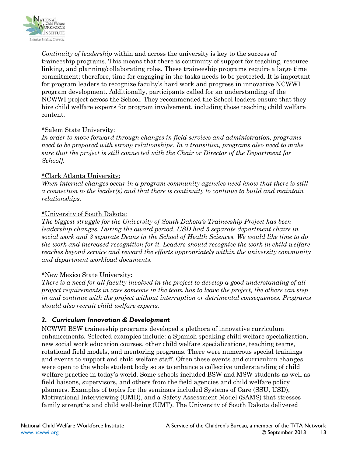

*Continuity of leadership* within and across the university is key to the success of traineeship programs. This means that there is continuity of support for teaching, resource linking, and planning/collaborating roles. These traineeship programs require a large time commitment; therefore, time for engaging in the tasks needs to be protected. It is important for program leaders to recognize faculty's hard work and progress in innovative NCWWI program development. Additionally, participants called for an understanding of the NCWWI project across the School. They recommended the School leaders ensure that they hire child welfare experts for program involvement, including those teaching child welfare content.

#### \*Salem State University:

*In order to move forward through changes in field services and administration, programs need to be prepared with strong relationships. In a transition, programs also need to make sure that the project is still connected with the Chair or Director of the Department [or School].*

#### \*Clark Atlanta University:

*When internal changes occur in a program community agencies need know that there is still a connection to the leader(s) and that there is continuity to continue to build and maintain relationships.*

#### \*University of South Dakota:

*The biggest struggle for the University of South Dakota's Traineeship Project has been leadership changes. During the award period, USD had 5 separate department chairs in social work and 3 separate Deans in the School of Health Sciences. We would like time to do the work and increased recognition for it. Leaders should recognize the work in child welfare reaches beyond service and reward the efforts appropriately within the university community and department workload documents.*

#### \*New Mexico State University:

*There is a need for all faculty involved in the project to develop a good understanding of all project requirements in case someone in the team has to leave the project, the others can step in and continue with the project without interruption or detrimental consequences. Programs should also recruit child welfare experts.* 

#### *2. Curriculum Innovation & Development*

NCWWI BSW traineeship programs developed a plethora of innovative curriculum enhancements. Selected examples include: a Spanish speaking child welfare specialization, new social work education courses, other child welfare specializations, teaching teams, rotational field models, and mentoring programs. There were numerous special trainings and events to support and child welfare staff. Often these events and curriculum changes were open to the whole student body so as to enhance a collective understanding of child welfare practice in today's world. Some schools included BSW and MSW students as well as field liaisons, supervisors, and others from the field agencies and child welfare policy planners. Examples of topics for the seminars included Systems of Care (SSU, USD), Motivational Interviewing (UMD), and a Safety Assessment Model (SAMS) that stresses family strengths and child well-being (UMT). The University of South Dakota delivered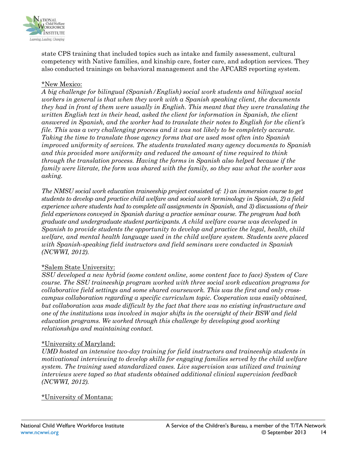

state CPS training that included topics such as intake and family assessment, cultural competency with Native families, and kinship care, foster care, and adoption services. They also conducted trainings on behavioral management and the AFCARS reporting system.

#### \*New Mexico:

*A big challenge for bilingual (Spanish/English) social work students and bilingual social workers in general is that when they work with a Spanish speaking client, the documents they had in front of them were usually in English. This meant that they were translating the written English text in their head, asked the client for information in Spanish, the client answered in Spanish, and the worker had to translate their notes to English for the client's file. This was a very challenging process and it was not likely to be completely accurate. Taking the time to translate those agency forms that are used most often into Spanish improved uniformity of services. The students translated many agency documents to Spanish and this provided more uniformity and reduced the amount of time required to think through the translation process. Having the forms in Spanish also helped because if the family were literate, the form was shared with the family, so they saw what the worker was asking.* 

*The NMSU social work education traineeship project consisted of: 1) an immersion course to get students to develop and practice child welfare and social work terminology in Spanish, 2) a field experience where students had to complete all assignments in Spanish, and 3) discussions of their field experiences conveyed in Spanish during a practice seminar course. The program had both graduate and undergraduate student participants. A child welfare course was developed in Spanish to provide students the opportunity to develop and practice the legal, health, child welfare, and mental health language used in the child welfare system. Students were placed with Spanish-speaking field instructors and field seminars were conducted in Spanish (NCWWI, 2012).*

#### \*Salem State University:

*SSU developed a new hybrid (some content online, some content face to face) System of Care course. The SSU traineeship program worked with three social work education programs for collaborative field settings and some shared coursework. This was the first and only crosscampus collaboration regarding a specific curriculum topic. Cooperation was easily obtained, but collaboration was made difficult by the fact that there was no existing infrastructure and one of the institutions was involved in major shifts in the oversight of their BSW and field education programs. We worked through this challenge by developing good working relationships and maintaining contact.*

#### \*University of Maryland:

*UMD hosted an intensive two-day training for field instructors and traineeship students in motivational interviewing to develop skills for engaging families served by the child welfare system. The training used standardized cases. Live supervision was utilized and training interviews were taped so that students obtained additional clinical supervision feedback (NCWWI, 2012).* 

\*University of Montana: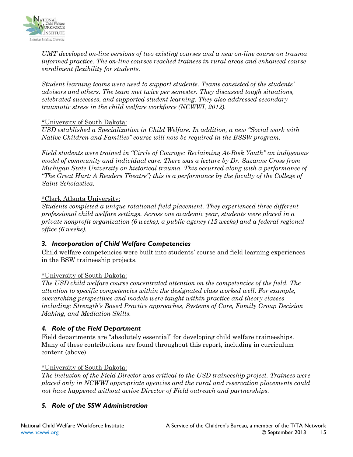

*UMT developed on-line versions of two existing courses and a new on-line course on trauma informed practice. The on-line courses reached trainees in rural areas and enhanced course enrollment flexibility for students.* 

*Student learning teams were used to support students. Teams consisted of the students' advisors and others. The team met twice per semester. They discussed tough situations, celebrated successes, and supported student learning. They also addressed secondary traumatic stress in the child welfare workforce (NCWWI, 2012).* 

#### \*University of South Dakota:

*USD established a Specialization in Child Welfare. In addition, a new "Social work with Native Children and Families" course will now be required in the BSSW program.* 

*Field students were trained in "Circle of Courage: Reclaiming At-Risk Youth" an indigenous model of community and individual care. There was a lecture by Dr. Suzanne Cross from Michigan State University on historical trauma. This occurred along with a performance of "The Great Hurt: A Readers Theatre"; this is a performance by the faculty of the College of Saint Scholastica.* 

#### \*Clark Atlanta University:

*Students completed a unique rotational field placement. They experienced three different professional child welfare settings. Across one academic year, students were placed in a private nonprofit organization (6 weeks), a public agency (12 weeks) and a federal regional office (6 weeks).*

#### *3. Incorporation of Child Welfare Competencies*

Child welfare competencies were built into students' course and field learning experiences in the BSW traineeship projects.

#### \*University of South Dakota:

*The USD child welfare course concentrated attention on the competencies of the field. The attention to specific competencies within the designated class worked well. For example, overarching perspectives and models were taught within practice and theory classes including: Strength's Based Practice approaches, Systems of Care, Family Group Decision Making, and Mediation Skills.* 

#### *4. Role of the Field Department*

Field departments are "absolutely essential" for developing child welfare traineeships. Many of these contributions are found throughout this report, including in curriculum content (above).

#### \*University of South Dakota:

*The inclusion of the Field Director was critical to the USD traineeship project. Trainees were placed only in NCWWI appropriate agencies and the rural and reservation placements could not have happened without active Director of Field outreach and partnerships.* 

#### *5. Role of the SSW Administration*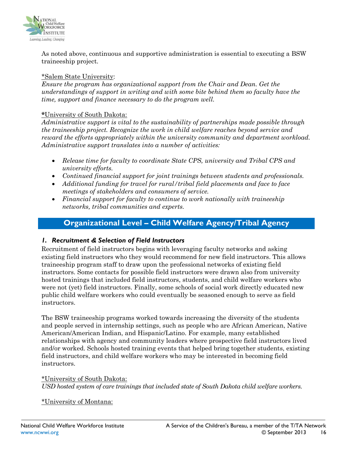

As noted above, continuous and supportive administration is essential to executing a BSW traineeship project.

#### \*Salem State University:

*Ensure the program has organizational support from the Chair and Dean. Get the understandings of support in writing and with some bite behind them so faculty have the time, support and finance necessary to do the program well.*

#### **\***University of South Dakota:

*Administrative support is vital to the sustainability of partnerships made possible through the traineeship project. Recognize the work in child welfare reaches beyond service and reward the efforts appropriately within the university community and department workload. Administrative support translates into a number of activities:*

- *Release time for faculty to coordinate State CPS, university and Tribal CPS and university efforts.*
- *Continued financial support for joint trainings between students and professionals.*
- *Additional funding for travel for rural/tribal field placements and face to face meetings of stakeholders and consumers of service.*
- *Financial support for faculty to continue to work nationally with traineeship networks, tribal communities and experts.*

### **Organizational Level – Child Welfare Agency/Tribal Agency**

#### <span id="page-15-0"></span>*1. Recruitment & Selection of Field Instructors*

Recruitment of field instructors begins with leveraging faculty networks and asking existing field instructors who they would recommend for new field instructors. This allows traineeship program staff to draw upon the professional networks of existing field instructors. Some contacts for possible field instructors were drawn also from university hosted trainings that included field instructors, students, and child welfare workers who were not (yet) field instructors. Finally, some schools of social work directly educated new public child welfare workers who could eventually be seasoned enough to serve as field instructors.

The BSW traineeship programs worked towards increasing the diversity of the students and people served in internship settings, such as people who are African American, Native American/American Indian, and Hispanic/Latino. For example, many established relationships with agency and community leaders where prospective field instructors lived and/or worked. Schools hosted training events that helped bring together students, existing field instructors, and child welfare workers who may be interested in becoming field instructors.

\*University of South Dakota: *USD hosted system of care trainings that included state of South Dakota child welfare workers.*

\*University of Montana: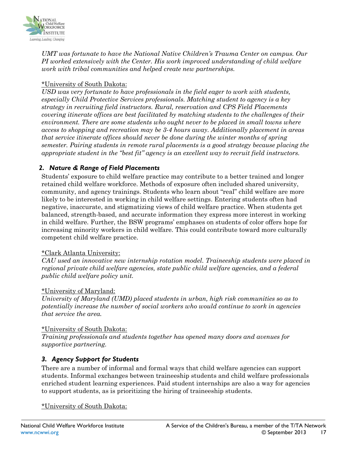

*UMT was fortunate to have the National Native Children's Trauma Center on campus. Our PI worked extensively with the Center. His work improved understanding of child welfare work with tribal communities and helped create new partnerships.*

#### \*University of South Dakota:

*USD was very fortunate to have professionals in the field eager to work with students, especially Child Protective Services professionals. Matching student to agency is a key strategy in recruiting field instructors. Rural, reservation and CPS Field Placements covering itinerate offices are best facilitated by matching students to the challenges of their environment. There are some students who ought never to be placed in small towns where access to shopping and recreation may be 3-4 hours away. Additionally placement in areas that service itinerate offices should never be done during the winter months of spring semester. Pairing students in remote rural placements is a good strategy because placing the appropriate student in the "best fit" agency is an excellent way to recruit field instructors.*

### *2. Nature & Range of Field Placements*

Students' exposure to child welfare practice may contribute to a better trained and longer retained child welfare workforce. Methods of exposure often included shared university, community, and agency trainings. Students who learn about "real" child welfare are more likely to be interested in working in child welfare settings. Entering students often had negative, inaccurate, and stigmatizing views of child welfare practice. When students get balanced, strength-based, and accurate information they express more interest in working in child welfare. Further, the BSW programs' emphases on students of color offers hope for increasing minority workers in child welfare. This could contribute toward more culturally competent child welfare practice.

#### \*Clark Atlanta University:

*CAU used an innovative new internship rotation model. Traineeship students were placed in regional private child welfare agencies, state public child welfare agencies, and a federal public child welfare policy unit.*

#### \*University of Maryland:

*University of Maryland (UMD) placed students in urban, high risk communities so as to potentially increase the number of social workers who would continue to work in agencies that service the area.*

#### \*University of South Dakota:

*Training professionals and students together has opened many doors and avenues for supportive partnering.* 

#### *3. Agency Support for Students*

There are a number of informal and formal ways that child welfare agencies can support students. Informal exchanges between traineeship students and child welfare professionals enriched student learning experiences. Paid student internships are also a way for agencies to support students, as is prioritizing the hiring of traineeship students.

\*University of South Dakota: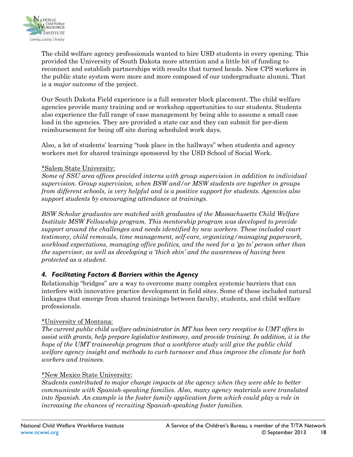

The child welfare agency professionals wanted to hire USD students in every opening. This provided the University of South Dakota more attention and a little bit of funding to reconnect and establish partnerships with results that turned heads. New CPS workers in the public state system were more and more composed of our undergraduate alumni. That is a *major outcome* of the project.

Our South Dakota Field experience is a full semester block placement. The child welfare agencies provide many training and or workshop opportunities to our students. Students also experience the full range of case management by being able to assume a small case load in the agencies. They are provided a state car and they can submit for per-diem reimbursement for being off site during scheduled work days.

Also, a lot of students' learning "took place in the hallways" when students and agency workers met for shared trainings sponsored by the USD School of Social Work.

#### \*Salem State University:

*Some of SSU area offices provided interns with group supervision in addition to individual supervision. Group supervision, when BSW and/or MSW students are together in groups from different schools, is very helpful and is a positive support for students. Agencies also support students by encouraging attendance at trainings.*

*BSW Scholar graduates are matched with graduates of the Massachusetts Child Welfare Institute MSW Fellowship program. This mentorship program was developed to provide support around the challenges and needs identified by new workers. These included court testimony, child removals, time management, self-care, organizing/managing paperwork, workload expectations, managing office politics, and the need for a 'go to' person other than the supervisor, as well as developing a 'thick skin' and the awareness of having been protected as a student.* 

### *4. Facilitating Factors & Barriers within the Agency*

Relationship "bridges" are a way to overcome many complex systemic barriers that can interfere with innovative practice development in field sites. Some of these included natural linkages that emerge from shared trainings between faculty, students, and child welfare professionals.

#### \*University of Montana:

*The current public child welfare administrator in MT has been very receptive to UMT offers to assist with grants, help prepare legislative testimony, and provide training. In addition, it is the hope of the UMT traineeship program that a workforce study will give the public child welfare agency insight and methods to curb turnover and thus improve the climate for both workers and trainees.* 

#### \*New Mexico State University:

*Students contributed to major change impacts at the agency when they were able to better communicate with Spanish-speaking families. Also, many agency materials were translated into Spanish. An example is the foster family application form which could play a role in increasing the chances of recruiting Spanish-speaking foster families.*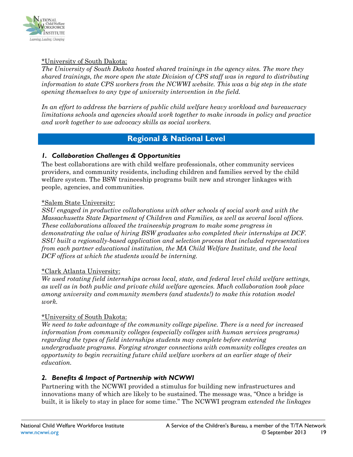

#### \*University of South Dakota:

*The University of South Dakota hosted shared trainings in the agency sites. The more they shared trainings, the more open the state Division of CPS staff was in regard to distributing information to state CPS workers from the NCWWI website. This was a big step in the state opening themselves to any type of university intervention in the field.*

*In an effort to address the barriers of public child welfare heavy workload and bureaucracy limitations schools and agencies should work together to make inroads in policy and practice and work together to use advocacy skills as social workers.* 

### **Regional & National Level**

#### <span id="page-18-0"></span>*1. Collaboration Challenges & Opportunities*

The best collaborations are with child welfare professionals, other community services providers, and community residents, including children and families served by the child welfare system. The BSW traineeship programs built new and stronger linkages with people, agencies, and communities.

#### \*Salem State University:

*SSU engaged in productive collaborations with other schools of social work and with the Massachusetts State Department of Children and Families, as well as several local offices. These collaborations allowed the traineeship program to make some progress in demonstrating the value of hiring BSW graduates who completed their internships at DCF. SSU built a regionally-based application and selection process that included representatives from each partner educational institution, the MA Child Welfare Institute, and the local DCF offices at which the students would be interning.*

#### \*Clark Atlanta University:

*We used rotating field internships across local, state, and federal level child welfare settings, as well as in both public and private child welfare agencies. Much collaboration took place among university and community members (and students!) to make this rotation model work.*

#### \*University of South Dakota:

*We need to take advantage of the community college pipeline. There is a need for increased information from community colleges (especially colleges with human services programs) regarding the types of field internships students may complete before entering undergraduate programs. Forging stronger connections with community colleges creates an opportunity to begin recruiting future child welfare workers at an earlier stage of their education.* 

#### *2. Benefits & Impact of Partnership with NCWWI*

Partnering with the NCWWI provided a stimulus for building new infrastructures and innovations many of which are likely to be sustained. The message was, "Once a bridge is built, it is likely to stay in place for some time." The NCWWI program e*xtended the linkages*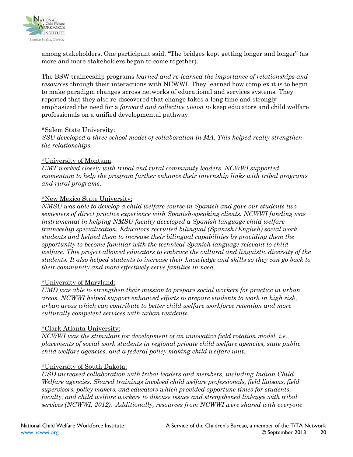

among stakeholders. One participant said, "The bridges kept getting longer and longer" (as more and more stakeholders began to come together).

The BSW traineeship programs *learned and re-learned the importance of relationships and resources* through their interactions with NCWWI*.* They learned how complex it is to begin to make paradigm changes across networks of educational and services systems. They reported that they also re-discovered that change takes a long time and strongly emphasized the need for a *forward and collective vision t*o keep educators and child welfare professionals on a unified developmental pathway.

#### \*Salem State University:

*SSU developed a three-school model of collaboration in MA. This helped really strengthen the relationships.*

#### \*University of Montana:

*UMT worked closely with tribal and rural community leaders. NCWWI supported momentum to help the program further enhance their internship links with tribal programs and rural programs.* 

#### \*New Mexico State University:

*NMSU was able to develop a child welfare course in Spanish and gave our students two semesters of direct practice experience with Spanish-speaking clients. NCWWI funding was instrumental in helping NMSU faculty developed a Spanish language child welfare traineeship specialization. Educators recruited bilingual (Spanish/English) social work students and helped them to increase their bilingual capabilities by providing them the opportunity to become familiar with the technical Spanish language relevant to child welfare. This project allowed educators to embrace the cultural and linguistic diversity of the students. It also helped students to increase their knowledge and skills so they can go back to their community and more effectively serve families in need.*

#### \*University of Maryland:

*UMD was able to strengthen their mission to prepare social workers for practice in urban areas. NCWWI helped support enhanced efforts to prepare students to work in high risk, urban areas which can contribute to better child welfare workforce retention and more culturally competent services with urban residents.*

#### \*Clark Atlanta University:

*NCWWI was the stimulant for development of an innovative field rotation model, i.e., placements of social work students in regional private child welfare agencies, state public child welfare agencies, and a federal policy making child welfare unit.*

#### \*University of South Dakota:

*USD increased collaboration with tribal leaders and members, including Indian Child Welfare agencies. Shared trainings involved child welfare professionals, field liaisons, field supervisors, policy makers, and educators which provided opportune times for students, faculty, and child welfare workers to discuss issues and strengthened linkages with tribal services (NCWWI, 2012). Additionally, resources from NCWWI were shared with everyone*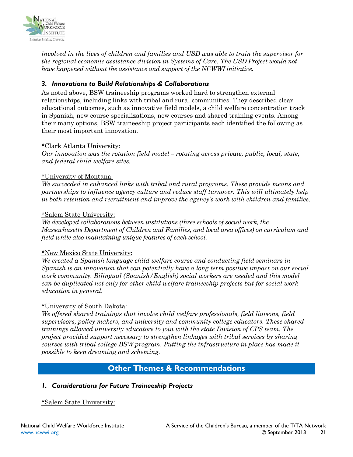

*involved in the lives of children and families and USD was able to train the supervisor for the regional economic assistance division in Systems of Care. The USD Project would not have happened without the assistance and support of the NCWWI initiative.*

#### *3. Innovations to Build Relationships & Collaborations*

As noted above, BSW traineeship programs worked hard to strengthen external relationships, including links with tribal and rural communities. They described clear educational outcomes, such as innovative field models, a child welfare concentration track in Spanish, new course specializations, new courses and shared training events. Among their many options, BSW traineeship project participants each identified the following as their most important innovation.

#### \*Clark Atlanta University:

*Our innovation was the rotation field model – rotating across private, public, local, state, and federal child welfare sites.*

#### \*University of Montana:

*We succeeded in enhanced links with tribal and rural programs. These provide means and partnerships to influence agency culture and reduce staff turnover. This will ultimately help in both retention and recruitment and improve the agency's work with children and families.*

#### \*Salem State University:

*We developed collaborations between institutions (three schools of social work, the Massachusetts Department of Children and Families, and local area offices) on curriculum and field while also maintaining unique features of each school.*

#### \*New Mexico State University:

*We created a Spanish language child welfare course and conducting field seminars in Spanish is an innovation that can potentially have a long term positive impact on our social work community. Bilingual (Spanish/English) social workers are needed and this model can be duplicated not only for other child welfare traineeship projects but for social work education in general.* 

#### \*University of South Dakota:

*We offered shared trainings that involve child welfare professionals, field liaisons, field supervisors, policy makers, and university and community college educators. These shared trainings allowed university educators to join with the state Division of CPS team. The project provided support necessary to strengthen linkages with tribal services by sharing courses with tribal college BSW program. Putting the infrastructure in place has made it possible to keep dreaming and scheming.*

### **Other Themes & Recommendations**

#### <span id="page-20-0"></span>*1. Considerations for Future Traineeship Projects*

#### \*Salem State University: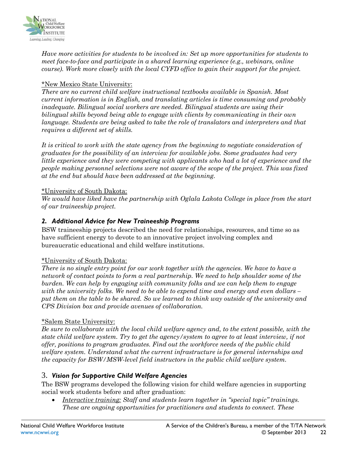

*Have more activities for students to be involved in: Set up more opportunities for students to meet face-to-face and participate in a shared learning experience (e.g., webinars, online course). Work more closely with the local CYFD office to gain their support for the project.*

#### \*New Mexico State University:

*There are no current child welfare instructional textbooks available in Spanish. Most current information is in English, and translating articles is time consuming and probably inadequate. Bilingual social workers are needed. Bilingual students are using their bilingual skills beyond being able to engage with clients by communicating in their own language. Students are being asked to take the role of translators and interpreters and that requires a different set of skills.* 

*It is critical to work with the state agency from the beginning to negotiate consideration of graduates for the possibility of an interview for available jobs. Some graduates had very little experience and they were competing with applicants who had a lot of experience and the people making personnel selections were not aware of the scope of the project. This was fixed at the end but should have been addressed at the beginning.*

#### \*University of South Dakota:

*We would have liked have the partnership with Oglala Lakota College in place from the start of our traineeship project.* 

#### *2. Additional Advice for New Traineeship Programs*

BSW traineeship projects described the need for relationships, resources, and time so as have sufficient energy to devote to an innovative project involving complex and bureaucratic educational and child welfare institutions.

#### \*University of South Dakota:

*There is no single entry point for our work together with the agencies. We have to have a network of contact points to form a real partnership. We need to help shoulder some of the burden. We can help by engaging with community folks and we can help them to engage with the university folks. We need to be able to expend time and energy and even dollars – put them on the table to be shared. So we learned to think way outside of the university and CPS Division box and provide avenues of collaboration.*

#### \*Salem State University:

*Be sure to collaborate with the local child welfare agency and, to the extent possible, with the state child welfare system. Try to get the agency/system to agree to at least interview, if not offer, positions to program graduates. Find out the workforce needs of the public child welfare system. Understand what the current infrastructure is for general internships and the capacity for BSW/MSW-level field instructors in the public child welfare system.*

#### 3. *Vision for Supportive Child Welfare Agencies*

The BSW programs developed the following vision for child welfare agencies in supporting social work students before and after graduation:

• *Interactive training: Staff and students learn together in "special topic" trainings. These are ongoing opportunities for practitioners and students to connect. These*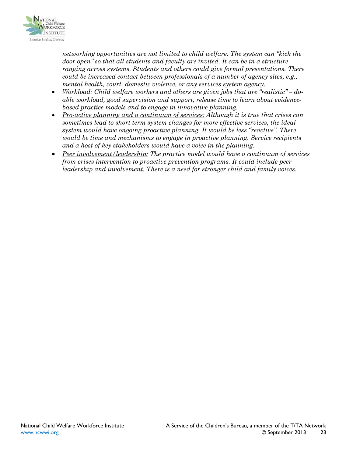

*networking opportunities are not limited to child welfare. The system can "kick the door open" so that all students and faculty are invited. It can be in a structure ranging across systems. Students and others could give formal presentations. There could be increased contact between professionals of a number of agency sites, e.g., mental health, court, domestic violence, or any services system agency.* 

- *Workload: Child welfare workers and others are given jobs that are "realistic" – doable workload, good supervision and support, release time to learn about evidencebased practice models and to engage in innovative planning.*
- *Pro-active planning and a continuum of services: Although it is true that crises can sometimes lead to short term system changes for more effective services, the ideal system would have ongoing proactive planning. It would be less "reactive". There would be time and mechanisms to engage in proactive planning. Service recipients and a host of key stakeholders would have a voice in the planning.*
- *Peer involvement/leadership: The practice model would have a continuum of services from crises intervention to proactive prevention programs. It could include peer leadership and involvement. There is a need for stronger child and family voices.*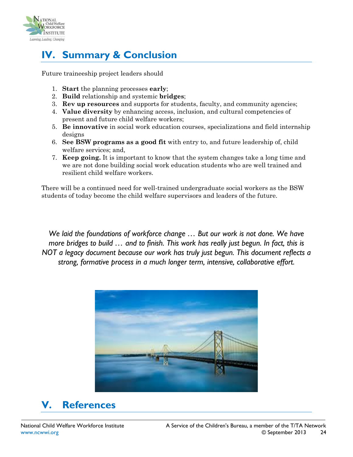

# <span id="page-23-0"></span>**IV. Summary & Conclusion**

Future traineeship project leaders should

- 1. **Start** the planning processes **early**;
- 2. **Build** relationship and systemic **bridges**;
- 3. **Rev up resources** and supports for students, faculty, and community agencies;
- 4. **Value diversity** by enhancing access, inclusion, and cultural competencies of present and future child welfare workers;
- 5. **Be innovative** in social work education courses, specializations and field internship designs
- 6. **See BSW programs as a good fit** with entry to, and future leadership of, child welfare services; and,
- 7. **Keep going.** It is important to know that the system changes take a long time and we are not done building social work education students who are well trained and resilient child welfare workers.

There will be a continued need for well-trained undergraduate social workers as the BSW students of today become the child welfare supervisors and leaders of the future.

*We laid the foundations of workforce change … But our work is not done. We have more bridges to build … and to finish. This work has really just begun. In fact, this is NOT a legacy document because our work has truly just begun. This document reflects a strong, formative process in a much longer term, intensive, collaborative effort.*



# <span id="page-23-1"></span>**V. References**